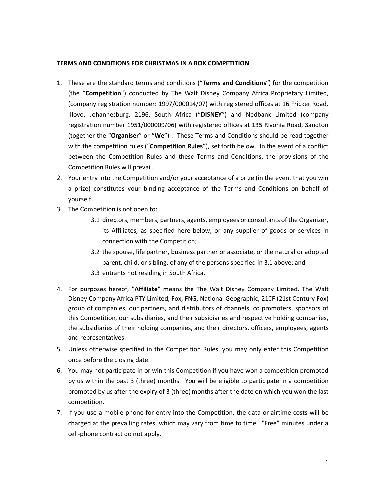## **TERMS AND CONDITIONS FOR CHRISTMAS IN A BOX COMPETITION**

- 1. These are the standard terms and conditions ("**Terms and Conditions**") for the competition (the "**Competition**") conducted by The Walt Disney Company Africa Proprietary Limited, (company registration number: 1997/000014/07) with registered offices at 16 Fricker Road, Illovo, Johannesburg, 2196, South Africa ("**DISNEY**") and Nedbank Limited (company registration number 1951/000009/06) with registered offices at 135 Rivonia Road, Sandton (together the "**Organiser**" or "**We**") . These Terms and Conditions should be read together with the competition rules ("**Competition Rules**"), set forth below. In the event of a conflict between the Competition Rules and these Terms and Conditions, the provisions of the Competition Rules will prevail.
- 2. Your entry into the Competition and/or your acceptance of a prize (in the event that you win a prize) constitutes your binding acceptance of the Terms and Conditions on behalf of yourself.
- 3. The Competition is not open to:
	- 3.1 directors, members, partners, agents, employees or consultants of the Organizer, its Affiliates, as specified here below, or any supplier of goods or services in connection with the Competition;
	- 3.2 the spouse, life partner, business partner or associate, or the natural or adopted parent, child, or sibling, of any of the persons specified in 3.1 above; and
	- 3.3 entrants not residing in South Africa.
- 4. For purposes hereof, "**Affiliate**" means the The Walt Disney Company Limited, The Walt Disney Company Africa PTY Limited, Fox, FNG, National Geographic, 21CF (21st Century Fox) group of companies, our partners, and distributors of channels, co promoters, sponsors of this Competition, our subsidiaries, and their subsidiaries and respective holding companies, the subsidiaries of their holding companies, and their directors, officers, employees, agents and representatives.
- 5. Unless otherwise specified in the Competition Rules, you may only enter this Competition once before the closing date.
- 6. You may not participate in or win this Competition if you have won a competition promoted by us within the past 3 (three) months. You will be eligible to participate in a competition promoted by us after the expiry of 3 (three) months after the date on which you won the last competition.
- 7. If you use a mobile phone for entry into the Competition, the data or airtime costs will be charged at the prevailing rates, which may vary from time to time. "Free" minutes under a cell-phone contract do not apply.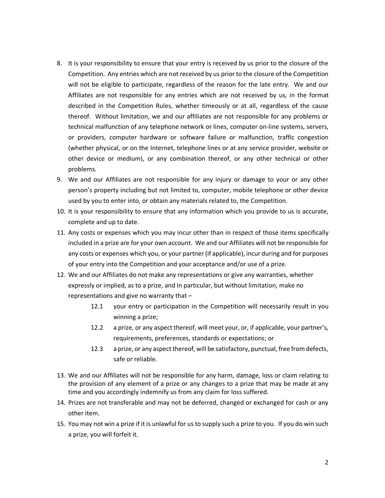- 8. It is your responsibility to ensure that your entry is received by us prior to the closure of the Competition. Any entries which are not received by us prior to the closure of the Competition will not be eligible to participate, regardless of the reason for the late entry. We and our Affiliates are not responsible for any entries which are not received by us, in the format described in the Competition Rules, whether timeously or at all, regardless of the cause thereof. Without limitation, we and our affiliates are not responsible for any problems or technical malfunction of any telephone network or lines, computer on-line systems, servers, or providers, computer hardware or software failure or malfunction, traffic congestion (whether physical, or on the Internet, telephone lines or at any service provider, website or other device or medium), or any combination thereof, or any other technical or other problems.
- 9. We and our Affiliates are not responsible for any injury or damage to your or any other person's property including but not limited to, computer, mobile telephone or other device used by you to enter into, or obtain any materials related to, the Competition.
- 10. It is your responsibility to ensure that any information which you provide to us is accurate, complete and up to date.
- 11. Any costs or expenses which you may incur other than in respect of those items specifically included in a prize are for your own account. We and our Affiliates will not be responsible for any costs or expenses which you, or your partner (if applicable), incur during and for purposes of your entry into the Competition and your acceptance and/or use of a prize.
- 12. We and our Affiliates do not make any representations or give any warranties, whether expressly or implied, as to a prize, and in particular, but without limitation, make no representations and give no warranty that –
	- 12.1 your entry or participation in the Competition will necessarily result in you winning a prize;
	- 12.2 a prize, or any aspect thereof, will meet your, or, if applicable, your partner's, requirements, preferences, standards or expectations; or
	- 12.3 a prize, or any aspect thereof, will be satisfactory, punctual, free from defects, safe or reliable.
- 13. We and our Affiliates will not be responsible for any harm, damage, loss or claim relating to the provision of any element of a prize or any changes to a prize that may be made at any time and you accordingly indemnify us from any claim for loss suffered.
- 14. Prizes are not transferable and may not be deferred, changed or exchanged for cash or any other item.
- 15. You may not win a prize if it is unlawful for us to supply such a prize to you. If you do win such a prize, you will forfeit it.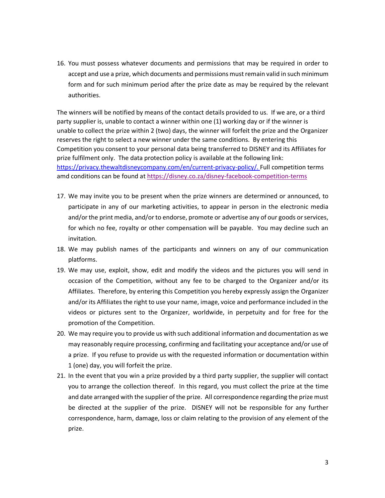16. You must possess whatever documents and permissions that may be required in order to accept and use a prize, which documents and permissions must remain valid in such minimum form and for such minimum period after the prize date as may be required by the relevant authorities.

The winners will be notified by means of the contact details provided to us. If we are, or a third party supplier is, unable to contact a winner within one (1) working day or if the winner is unable to collect the prize within 2 (two) days, the winner will forfeit the prize and the Organizer reserves the right to select a new winner under the same conditions. By entering this Competition you consent to your personal data being transferred to DISNEY and its Affiliates for prize fulfilment only. The data protection policy is available at the following link: https://privacy.thewaltdisneycompany.com/en/current-privacy-policy/. Full competition terms amd conditions can be found at https://disney.co.za/disney-facebook-competition-terms

- 17. We may invite you to be present when the prize winners are determined or announced, to participate in any of our marketing activities, to appear in person in the electronic media and/or the print media, and/or to endorse, promote or advertise any of our goods or services, for which no fee, royalty or other compensation will be payable. You may decline such an invitation.
- 18. We may publish names of the participants and winners on any of our communication platforms.
- 19. We may use, exploit, show, edit and modify the videos and the pictures you will send in occasion of the Competition, without any fee to be charged to the Organizer and/or its Affiliates. Therefore, by entering this Competition you hereby expressly assign the Organizer and/or its Affiliates the right to use your name, image, voice and performance included in the videos or pictures sent to the Organizer, worldwide, in perpetuity and for free for the promotion of the Competition.
- 20. We may require you to provide us with such additional information and documentation as we may reasonably require processing, confirming and facilitating your acceptance and/or use of a prize. If you refuse to provide us with the requested information or documentation within 1 (one) day, you will forfeit the prize.
- 21. In the event that you win a prize provided by a third party supplier, the supplier will contact you to arrange the collection thereof. In this regard, you must collect the prize at the time and date arranged with the supplier of the prize. All correspondence regarding the prize must be directed at the supplier of the prize. DISNEY will not be responsible for any further correspondence, harm, damage, loss or claim relating to the provision of any element of the prize.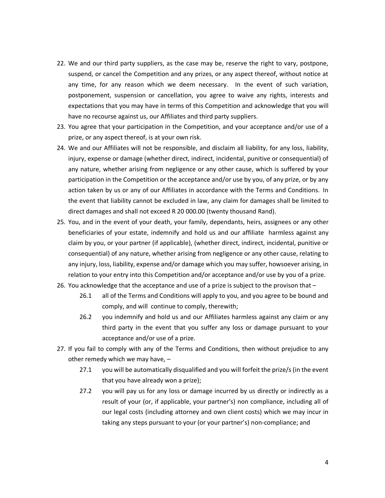- 22. We and our third party suppliers, as the case may be, reserve the right to vary, postpone, suspend, or cancel the Competition and any prizes, or any aspect thereof, without notice at any time, for any reason which we deem necessary. In the event of such variation, postponement, suspension or cancellation, you agree to waive any rights, interests and expectations that you may have in terms of this Competition and acknowledge that you will have no recourse against us, our Affiliates and third party suppliers.
- 23. You agree that your participation in the Competition, and your acceptance and/or use of a prize, or any aspect thereof, is at your own risk.
- 24. We and our Affiliates will not be responsible, and disclaim all liability, for any loss, liability, injury, expense or damage (whether direct, indirect, incidental, punitive or consequential) of any nature, whether arising from negligence or any other cause, which is suffered by your participation in the Competition or the acceptance and/or use by you, of any prize, or by any action taken by us or any of our Affiliates in accordance with the Terms and Conditions. In the event that liability cannot be excluded in law, any claim for damages shall be limited to direct damages and shall not exceed R 20 000.00 (twenty thousand Rand).
- 25. You, and in the event of your death, your family, dependants, heirs, assignees or any other beneficiaries of your estate, indemnify and hold us and our affiliate harmless against any claim by you, or your partner (if applicable), (whether direct, indirect, incidental, punitive or consequential) of any nature, whether arising from negligence or any other cause, relating to any injury, loss, liability, expense and/or damage which you may suffer, howsoever arising, in relation to your entry into this Competition and/or acceptance and/or use by you of a prize.
- 26. You acknowledge that the acceptance and use of a prize is subject to the provison that
	- 26.1 all of the Terms and Conditions will apply to you, and you agree to be bound and comply, and will continue to comply, therewith;
	- 26.2 you indemnify and hold us and our Affiliates harmless against any claim or any third party in the event that you suffer any loss or damage pursuant to your acceptance and/or use of a prize.
- 27. If you fail to comply with any of the Terms and Conditions, then without prejudice to any other remedy which we may have, –
	- 27.1 you will be automatically disqualified and you will forfeit the prize/s (in the event that you have already won a prize);
	- 27.2 you will pay us for any loss or damage incurred by us directly or indirectly as a result of your (or, if applicable, your partner's) non compliance, including all of our legal costs (including attorney and own client costs) which we may incur in taking any steps pursuant to your (or your partner's) non-compliance; and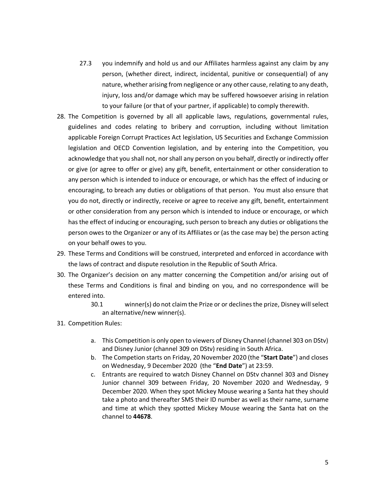- 27.3 you indemnify and hold us and our Affiliates harmless against any claim by any person, (whether direct, indirect, incidental, punitive or consequential) of any nature, whether arising from negligence or any other cause, relating to any death, injury, loss and/or damage which may be suffered howsoever arising in relation to your failure (or that of your partner, if applicable) to comply therewith.
- 28. The Competition is governed by all all applicable laws, regulations, governmental rules, guidelines and codes relating to bribery and corruption, including without limitation applicable Foreign Corrupt Practices Act legislation, US Securities and Exchange Commission legislation and OECD Convention legislation, and by entering into the Competition, you acknowledge that you shall not, nor shall any person on you behalf, directly or indirectly offer or give (or agree to offer or give) any gift, benefit, entertainment or other consideration to any person which is intended to induce or encourage, or which has the effect of inducing or encouraging, to breach any duties or obligations of that person. You must also ensure that you do not, directly or indirectly, receive or agree to receive any gift, benefit, entertainment or other consideration from any person which is intended to induce or encourage, or which has the effect of inducing or encouraging, such person to breach any duties or obligations the person owes to the Organizer or any of its Affiliates or (as the case may be) the person acting on your behalf owes to you.
- 29. These Terms and Conditions will be construed, interpreted and enforced in accordance with the laws of contract and dispute resolution in the Republic of South Africa.
- 30. The Organizer's decision on any matter concerning the Competition and/or arising out of these Terms and Conditions is final and binding on you, and no correspondence will be entered into.
	- 30.1 winner(s) do not claim the Prize or or declines the prize, Disney will select an alternative/new winner(s).
- 31. Competition Rules:
	- a. This Competition is only open to viewers of Disney Channel (channel 303 on DStv) and Disney Junior (channel 309 on DStv) residing in South Africa.
	- b. The Competion starts on Friday, 20 November 2020 (the "**Start Date**") and closes on Wednesday, 9 December 2020 (the "**End Date**") at 23:59.
	- c. Entrants are required to watch Disney Channel on DStv channel 303 and Disney Junior channel 309 between Friday, 20 November 2020 and Wednesday, 9 December 2020. When they spot Mickey Mouse wearing a Santa hat they should take a photo and thereafter SMS their ID number as well as their name, surname and time at which they spotted Mickey Mouse wearing the Santa hat on the channel to **44678**.